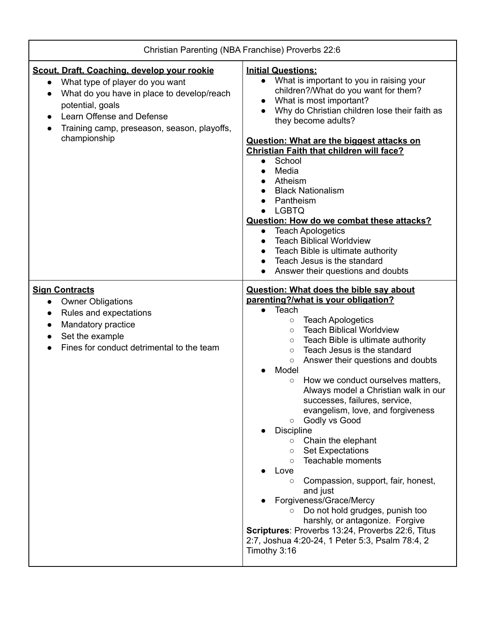| Christian Parenting (NBA Franchise) Proverbs 22:6                                                                                                                                                                                            |                                                                                                                                                                                                                                                                                                                                                                                                                                                                                                                                                                                                                                                                                                                                                                                                                                                                                                                                                                                   |
|----------------------------------------------------------------------------------------------------------------------------------------------------------------------------------------------------------------------------------------------|-----------------------------------------------------------------------------------------------------------------------------------------------------------------------------------------------------------------------------------------------------------------------------------------------------------------------------------------------------------------------------------------------------------------------------------------------------------------------------------------------------------------------------------------------------------------------------------------------------------------------------------------------------------------------------------------------------------------------------------------------------------------------------------------------------------------------------------------------------------------------------------------------------------------------------------------------------------------------------------|
| Scout, Draft, Coaching, develop your rookie<br>What type of player do you want<br>What do you have in place to develop/reach<br>potential, goals<br>Learn Offense and Defense<br>Training camp, preseason, season, playoffs,<br>championship | <b>Initial Questions:</b><br>What is important to you in raising your<br>$\bullet$<br>children?/What do you want for them?<br>What is most important?<br>Why do Christian children lose their faith as<br>they become adults?<br><b>Question: What are the biggest attacks on</b><br><b>Christian Faith that children will face?</b><br>School<br>$\bullet$<br>Media<br>$\bullet$<br>Atheism<br><b>Black Nationalism</b><br>Pantheism<br><b>LGBTQ</b><br>Question: How do we combat these attacks?<br><b>Teach Apologetics</b><br>$\bullet$<br><b>Teach Biblical Worldview</b><br>Teach Bible is ultimate authority<br>Teach Jesus is the standard<br>Answer their questions and doubts                                                                                                                                                                                                                                                                                           |
| <b>Sign Contracts</b><br><b>Owner Obligations</b><br>$\bullet$<br>Rules and expectations<br>$\bullet$<br>Mandatory practice<br>Set the example<br>Fines for conduct detrimental to the team                                                  | <b>Question: What does the bible say about</b><br>parenting?/what is your obligation?<br>Teach<br>$\bullet$<br><b>Teach Apologetics</b><br>$\circ$<br><b>Teach Biblical Worldview</b><br>$\circ$<br>Teach Bible is ultimate authority<br>$\circ$<br>Teach Jesus is the standard<br>$\circ$<br>Answer their questions and doubts<br>$\circ$<br>Model<br>How we conduct ourselves matters,<br>$\circ$<br>Always model a Christian walk in our<br>successes, failures, service,<br>evangelism, love, and forgiveness<br>Godly vs Good<br>$\circ$<br><b>Discipline</b><br>Chain the elephant<br>$\circ$<br><b>Set Expectations</b><br>$\circ$<br>Teachable moments<br>$\circ$<br>Love<br>Compassion, support, fair, honest,<br>$\circ$<br>and just<br>Forgiveness/Grace/Mercy<br>Do not hold grudges, punish too<br>$\circ$<br>harshly, or antagonize. Forgive<br>Scriptures: Proverbs 13:24, Proverbs 22:6, Titus<br>2:7, Joshua 4:20-24, 1 Peter 5:3, Psalm 78:4, 2<br>Timothy 3:16 |